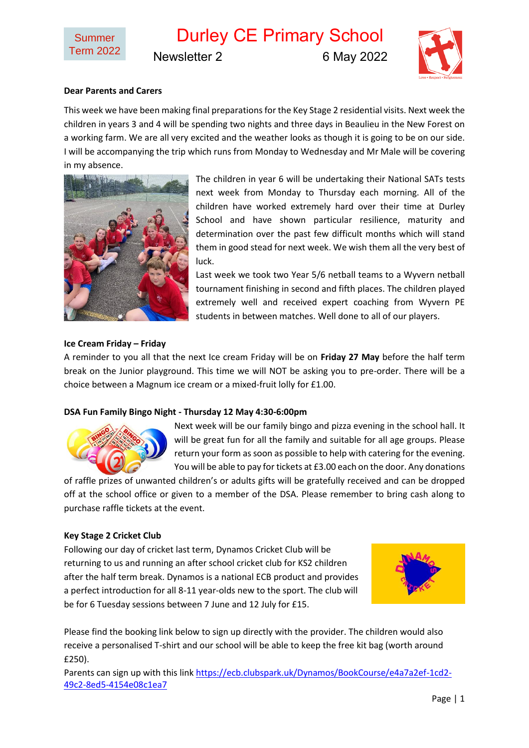Durley CE Primary School Newsletter 2 6 May 2022



# **Dear Parents and Carers**

This week we have been making final preparations for the Key Stage 2 residential visits. Next week the children in years 3 and 4 will be spending two nights and three days in Beaulieu in the New Forest on a working farm. We are all very excited and the weather looks as though it is going to be on our side. I will be accompanying the trip which runs from Monday to Wednesday and Mr Male will be covering in my absence.



The children in year 6 will be undertaking their National SATs tests next week from Monday to Thursday each morning. All of the children have worked extremely hard over their time at Durley School and have shown particular resilience, maturity and determination over the past few difficult months which will stand them in good stead for next week. We wish them all the very best of luck.

Last week we took two Year 5/6 netball teams to a Wyvern netball tournament finishing in second and fifth places. The children played extremely well and received expert coaching from Wyvern PE students in between matches. Well done to all of our players.

### **Ice Cream Friday – Friday**

A reminder to you all that the next Ice cream Friday will be on **Friday 27 May** before the half term break on the Junior playground. This time we will NOT be asking you to pre-order. There will be a choice between a Magnum ice cream or a mixed-fruit lolly for £1.00.

### **DSA Fun Family Bingo Night - Thursday 12 May 4:30-6:00pm**



Next week will be our family bingo and pizza evening in the school hall. It will be great fun for all the family and suitable for all age groups. Please return your form as soon as possible to help with catering for the evening. You will be able to pay for tickets at £3.00 each on the door. Any donations

of raffle prizes of unwanted children's or adults gifts will be gratefully received and can be dropped off at the school office or given to a member of the DSA. Please remember to bring cash along to purchase raffle tickets at the event.

### **Key Stage 2 Cricket Club**

Following our day of cricket last term, Dynamos Cricket Club will be returning to us and running an after school cricket club for KS2 children after the half term break. Dynamos is a national ECB product and provides a perfect introduction for all 8-11 year-olds new to the sport. The club will be for 6 Tuesday sessions between 7 June and 12 July for £15.



Please find the booking link below to sign up directly with the provider. The children would also receive a personalised T-shirt and our school will be able to keep the free kit bag (worth around £250).

Parents can sign up with this link [https://ecb.clubspark.uk/Dynamos/BookCourse/e4a7a2ef-1cd2-](https://ecb.clubspark.uk/Dynamos/BookCourse/e4a7a2ef-1cd2-49c2-8ed5-4154e08c1ea7) [49c2-8ed5-4154e08c1ea7](https://ecb.clubspark.uk/Dynamos/BookCourse/e4a7a2ef-1cd2-49c2-8ed5-4154e08c1ea7)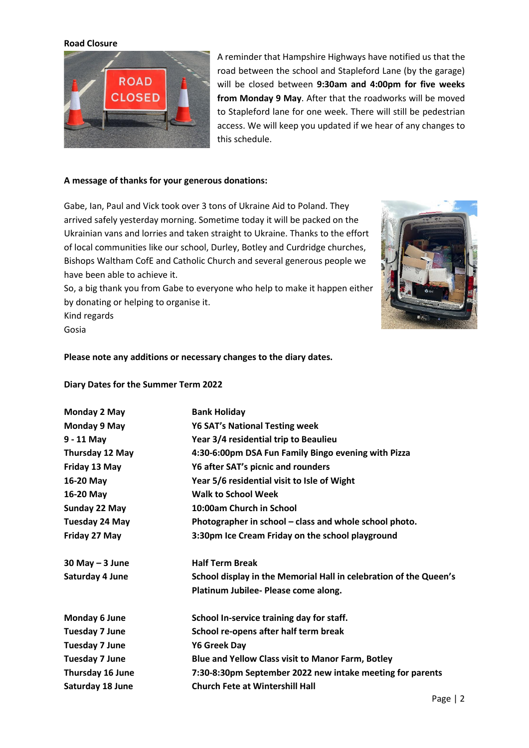### **Road Closure**



A reminder that Hampshire Highways have notified us that the road between the school and Stapleford Lane (by the garage) will be closed between **9:30am and 4:00pm for five weeks from Monday 9 May**. After that the roadworks will be moved to Stapleford lane for one week. There will still be pedestrian access. We will keep you updated if we hear of any changes to this schedule.

#### **A message of thanks for your generous donations:**

Gabe, Ian, Paul and Vick took over 3 tons of Ukraine Aid to Poland. They arrived safely yesterday morning. Sometime today it will be packed on the Ukrainian vans and lorries and taken straight to Ukraine. Thanks to the effort of local communities like our school, Durley, Botley and Curdridge churches, Bishops Waltham CofE and Catholic Church and several generous people we have been able to achieve it.

So, a big thank you from Gabe to everyone who help to make it happen either by donating or helping to organise it.



Kind regards Gosia

#### **Please note any additions or necessary changes to the diary dates.**

### **Diary Dates for the Summer Term 2022**

| Monday 2 May          | <b>Bank Holiday</b>                                               |
|-----------------------|-------------------------------------------------------------------|
| Monday 9 May          | <b>Y6 SAT's National Testing week</b>                             |
| $9 - 11$ May          | Year 3/4 residential trip to Beaulieu                             |
| Thursday 12 May       | 4:30-6:00pm DSA Fun Family Bingo evening with Pizza               |
| Friday 13 May         | Y6 after SAT's picnic and rounders                                |
| 16-20 May             | Year 5/6 residential visit to Isle of Wight                       |
| 16-20 May             | <b>Walk to School Week</b>                                        |
| Sunday 22 May         | 10:00am Church in School                                          |
| Tuesday 24 May        | Photographer in school - class and whole school photo.            |
| Friday 27 May         | 3:30pm Ice Cream Friday on the school playground                  |
| $30$ May $-3$ June    | <b>Half Term Break</b>                                            |
| Saturday 4 June       | School display in the Memorial Hall in celebration of the Queen's |
|                       | Platinum Jubilee- Please come along.                              |
| Monday 6 June         | School In-service training day for staff.                         |
| <b>Tuesday 7 June</b> | School re-opens after half term break                             |
| <b>Tuesday 7 June</b> | <b>Y6 Greek Day</b>                                               |
| <b>Tuesday 7 June</b> | <b>Blue and Yellow Class visit to Manor Farm, Botley</b>          |
| Thursday 16 June      | 7:30-8:30pm September 2022 new intake meeting for parents         |
| Saturday 18 June      | <b>Church Fete at Wintershill Hall</b>                            |